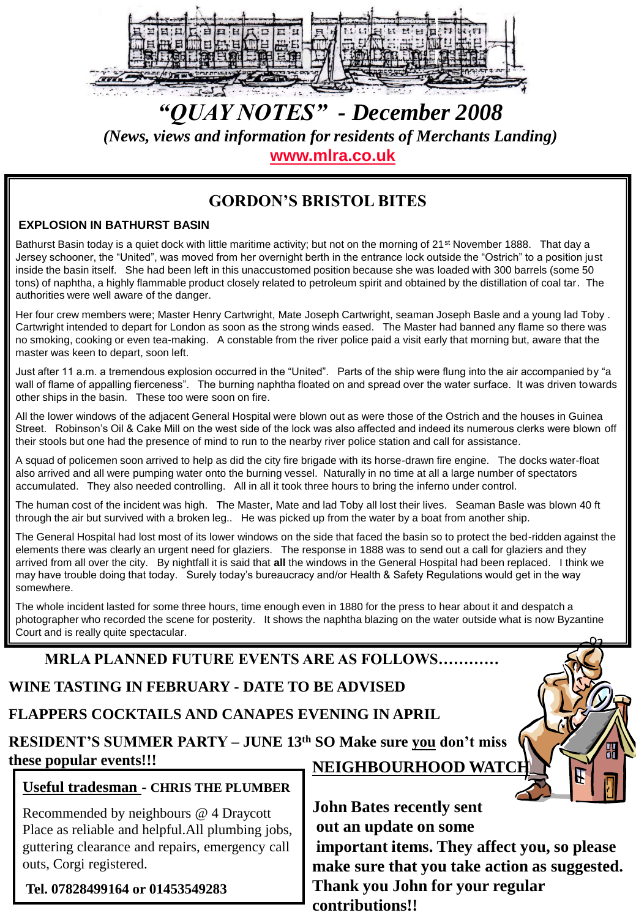

# *"QUAY NOTES" - December 2008 (News, views and information for residents of Merchants Landing)*

**[www.mlra.co.uk](http://www.mlra.co.uk/)**

### **GORDON'S BRISTOL BITES**

#### **EXPLOSION IN BATHURST BASIN**

Bathurst Basin today is a quiet dock with little maritime activity; but not on the morning of 21<sup>st</sup> November 1888. That day a Jersey schooner, the "United", was moved from her overnight berth in the entrance lock outside the "Ostrich" to a position just inside the basin itself. She had been left in this unaccustomed position because she was loaded with 300 barrels (some 50 tons) of naphtha, a highly flammable product closely related to petroleum spirit and obtained by the distillation of coal tar. The authorities were well aware of the danger.

Her four crew members were; Master Henry Cartwright, Mate Joseph Cartwright, seaman Joseph Basle and a young lad Toby . Cartwright intended to depart for London as soon as the strong winds eased. The Master had banned any flame so there was no smoking, cooking or even tea-making. A constable from the river police paid a visit early that morning but, aware that the master was keen to depart, soon left.

Just after 11 a.m. a tremendous explosion occurred in the "United". Parts of the ship were flung into the air accompanied by "a wall of flame of appalling fierceness". The burning naphtha floated on and spread over the water surface. It was driven towards other ships in the basin. These too were soon on fire.

All the lower windows of the adjacent General Hospital were blown out as were those of the Ostrich and the houses in Guinea Street. Robinson's Oil & Cake Mill on the west side of the lock was also affected and indeed its numerous clerks were blown off their stools but one had the presence of mind to run to the nearby river police station and call for assistance.

A squad of policemen soon arrived to help as did the city fire brigade with its horse-drawn fire engine. The docks water-float also arrived and all were pumping water onto the burning vessel. Naturally in no time at all a large number of spectators accumulated. They also needed controlling. All in all it took three hours to bring the inferno under control.

The human cost of the incident was high. The Master, Mate and lad Toby all lost their lives. Seaman Basle was blown 40 ft through the air but survived with a broken leg.. He was picked up from the water by a boat from another ship.

The General Hospital had lost most of its lower windows on the side that faced the basin so to protect the bed-ridden against the elements there was clearly an urgent need for glaziers. The response in 1888 was to send out a call for glaziers and they arrived from all over the city. By nightfall it is said that **all** the windows in the General Hospital had been replaced. I think we may have trouble doing that today. Surely today's bureaucracy and/or Health & Safety Regulations would get in the way somewhere.

The whole incident lasted for some three hours, time enough even in 1880 for the press to hear about it and despatch a photographer who recorded the scene for posterity. It shows the naphtha blazing on the water outside what is now Byzantine Court and is really quite spectacular.

### **MRLA PLANNED FUTURE EVENTS ARE AS FOLLOWS…………**

## **WINE TASTING IN FEBRUARY - DATE TO BE ADVISED**

**FLAPPERS COCKTAILS AND CANAPES EVENING IN APRIL** 

**RESIDENT'S SUMMER PARTY – JUNE 13th SO Make sure you don't miss these popular events!!! NEIGHBOURHOOD WATC** 

### **Useful tradesman - CHRIS THE PLUMBER**

Recommended by neighbours @ 4 Draycott Place as reliable and helpful.All plumbing jobs, guttering clearance and repairs, emergency call outs, Corgi registered.

**Tel. 07828499164 or 01453549283**

**John Bates recently sent out an update on some important items. They affect you, so please make sure that you take action as suggested. Thank you John for your regular contributions!!**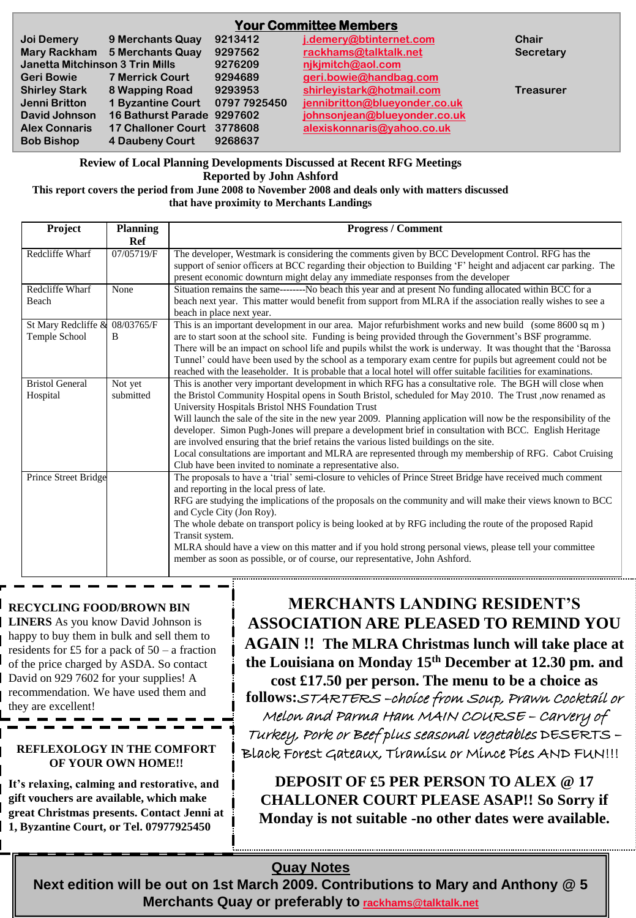| <b>Your Committee Members</b>   |                               |              |                               |                  |  |
|---------------------------------|-------------------------------|--------------|-------------------------------|------------------|--|
| Joi Demery                      | 9 Merchants Quay              | 9213412      | j.demery@btinternet.com       | Chair            |  |
|                                 | Mary Rackham 5 Merchants Quay | 9297562      | rackhams@talktalk.net         | <b>Secretary</b> |  |
| Janetta Mitchinson 3 Trin Mills |                               | 9276209      | nikimitch@aol.com             |                  |  |
| <b>Geri Bowie</b>               | <b>7 Merrick Court</b>        | 9294689      | geri.bowie@handbag.com        |                  |  |
| <b>Shirley Stark</b>            | 8 Wapping Road                | 9293953      | shirleyistark@hotmail.com     | <b>Treasurer</b> |  |
| Jenni Britton                   | 1 Byzantine Court             | 0797 7925450 | jennibritton@blueyonder.co.uk |                  |  |
| David Johnson                   | 16 Bathurst Parade 9297602    |              | johnsonjean@blueyonder.co.uk  |                  |  |
| <b>Alex Connaris</b>            | 17 Challoner Court 3778608    |              | alexiskonnaris@yahoo.co.uk    |                  |  |
| <b>Bob Bishop</b>               | 4 Daubeny Court               | 9268637      |                               |                  |  |

**Review of Local Planning Developments Discussed at Recent RFG Meetings Reported by John Ashford**

**This report covers the period from June 2008 to November 2008 and deals only with matters discussed that have proximity to Merchants Landings**

| Project                              | <b>Planning</b><br>Ref | <b>Progress / Comment</b>                                                                                                                                                                                                                                                                                                                                                                                                                                                                                                                                                                                                                                                                                                                                                   |
|--------------------------------------|------------------------|-----------------------------------------------------------------------------------------------------------------------------------------------------------------------------------------------------------------------------------------------------------------------------------------------------------------------------------------------------------------------------------------------------------------------------------------------------------------------------------------------------------------------------------------------------------------------------------------------------------------------------------------------------------------------------------------------------------------------------------------------------------------------------|
| Redcliffe Wharf                      | 07/05719/F             | The developer, Westmark is considering the comments given by BCC Development Control. RFG has the<br>support of senior officers at BCC regarding their objection to Building 'F' height and adjacent car parking. The<br>present economic downturn might delay any immediate responses from the developer                                                                                                                                                                                                                                                                                                                                                                                                                                                                   |
| Redcliffe Wharf<br>Beach             | None                   | Situation remains the same--------No beach this year and at present No funding allocated within BCC for a<br>beach next year. This matter would benefit from support from MLRA if the association really wishes to see a<br>beach in place next year.                                                                                                                                                                                                                                                                                                                                                                                                                                                                                                                       |
| St Mary Redcliffe &<br>Temple School | 08/03765/F<br>B        | This is an important development in our area. Major refurbishment works and new build (some 8600 sq m)<br>are to start soon at the school site. Funding is being provided through the Government's BSF programme.<br>There will be an impact on school life and pupils whilst the work is underway. It was thought that the 'Barossa<br>Tunnel' could have been used by the school as a temporary exam centre for pupils but agreement could not be<br>reached with the leaseholder. It is probable that a local hotel will offer suitable facilities for examinations.                                                                                                                                                                                                     |
| <b>Bristol General</b><br>Hospital   | Not yet<br>submitted   | This is another very important development in which RFG has a consultative role. The BGH will close when<br>the Bristol Community Hospital opens in South Bristol, scheduled for May 2010. The Trust ,now renamed as<br>University Hospitals Bristol NHS Foundation Trust<br>Will launch the sale of the site in the new year 2009. Planning application will now be the responsibility of the<br>developer. Simon Pugh-Jones will prepare a development brief in consultation with BCC. English Heritage<br>are involved ensuring that the brief retains the various listed buildings on the site.<br>Local consultations are important and MLRA are represented through my membership of RFG. Cabot Cruising<br>Club have been invited to nominate a representative also. |
| Prince Street Bridge                 |                        | The proposals to have a 'trial' semi-closure to vehicles of Prince Street Bridge have received much comment<br>and reporting in the local press of late.<br>RFG are studying the implications of the proposals on the community and will make their views known to BCC<br>and Cycle City (Jon Roy).<br>The whole debate on transport policy is being looked at by RFG including the route of the proposed Rapid<br>Transit system.<br>MLRA should have a view on this matter and if you hold strong personal views, please tell your committee<br>member as soon as possible, or of course, our representative, John Ashford.                                                                                                                                               |

### **RECYCLING FOOD/BROWN BIN**

**LINERS** As you know David Johnson is happy to buy them in bulk and sell them to residents for £5 for a pack of  $50 - a$  fraction of the price charged by ASDA. So contact David on 929 7602 for your supplies! A recommendation. We have used them and they are excellent!

#### **REFLEXOLOGY IN THE COMFORT OF YOUR OWN HOME!!**

**It's relaxing, calming and restorative, and gift vouchers are available, which make great Christmas presents. Contact Jenni at 1, Byzantine Court, or Tel. 07977925450** 

**MERCHANTS LANDING RESIDENT'S ASSOCIATION ARE PLEASED TO REMIND YOU AGAIN !! The MLRA Christmas lunch will take place at the Louisiana on Monday 15th December at 12.30 pm. and cost £17.50 per person. The menu to be a choice as** 

**follows:**STARTERS –choice from Soup, Prawn Cocktail or Melon and Parma Ham MAIN COURSE – Carvery of Turkey, Pork or Beef plus seasonal vegetables DESERTS – Black Forest Gateaux, Tiramisu or Mince Pies AND FUN!!!

**DEPOSIT OF £5 PER PERSON TO ALEX @ 17 CHALLONER COURT PLEASE ASAP!! So Sorry if Monday is not suitable -no other dates were available.** 

### **Quay Notes**

**Next edition will be out on 1st March 2009. Contributions to Mary and Anthony @ 5 Merchants Quay or preferably to [rackhams@talktalk.net](mailto:rackhams@talktalk.net)**